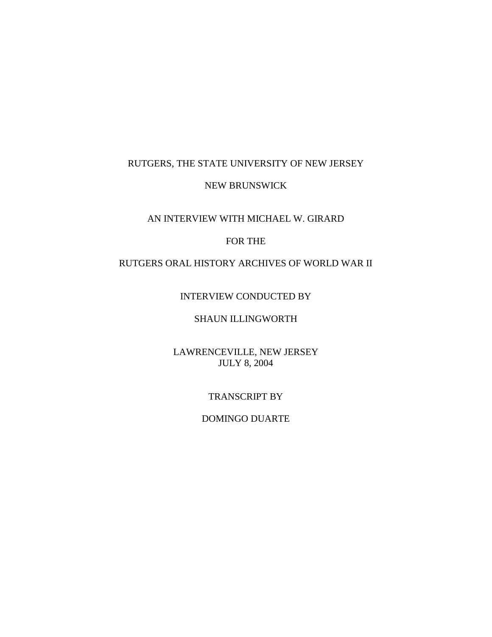### RUTGERS, THE STATE UNIVERSITY OF NEW JERSEY

#### NEW BRUNSWICK

# AN INTERVIEW WITH MICHAEL W. GIRARD

### FOR THE

## RUTGERS ORAL HISTORY ARCHIVES OF WORLD WAR II

#### INTERVIEW CONDUCTED BY

### SHAUN ILLINGWORTH

### LAWRENCEVILLE, NEW JERSEY JULY 8, 2004

#### TRANSCRIPT BY

#### DOMINGO DUARTE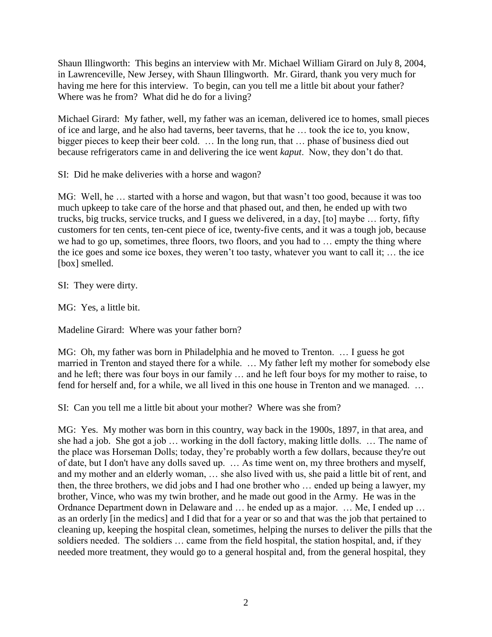Shaun Illingworth: This begins an interview with Mr. Michael William Girard on July 8, 2004, in Lawrenceville, New Jersey, with Shaun Illingworth. Mr. Girard, thank you very much for having me here for this interview. To begin, can you tell me a little bit about your father? Where was he from? What did he do for a living?

Michael Girard: My father, well, my father was an iceman, delivered ice to homes, small pieces of ice and large, and he also had taverns, beer taverns, that he … took the ice to, you know, bigger pieces to keep their beer cold. … In the long run, that … phase of business died out because refrigerators came in and delivering the ice went *kaput*. Now, they don't do that.

SI: Did he make deliveries with a horse and wagon?

MG: Well, he … started with a horse and wagon, but that wasn't too good, because it was too much upkeep to take care of the horse and that phased out, and then, he ended up with two trucks, big trucks, service trucks, and I guess we delivered, in a day, [to] maybe … forty, fifty customers for ten cents, ten-cent piece of ice, twenty-five cents, and it was a tough job, because we had to go up, sometimes, three floors, two floors, and you had to … empty the thing where the ice goes and some ice boxes, they weren't too tasty, whatever you want to call it; … the ice [box] smelled.

SI: They were dirty.

MG: Yes, a little bit.

Madeline Girard: Where was your father born?

MG: Oh, my father was born in Philadelphia and he moved to Trenton. … I guess he got married in Trenton and stayed there for a while. … My father left my mother for somebody else and he left; there was four boys in our family … and he left four boys for my mother to raise, to fend for herself and, for a while, we all lived in this one house in Trenton and we managed. …

SI: Can you tell me a little bit about your mother? Where was she from?

MG: Yes. My mother was born in this country, way back in the 1900s, 1897, in that area, and she had a job. She got a job … working in the doll factory, making little dolls. … The name of the place was Horseman Dolls; today, they're probably worth a few dollars, because they're out of date, but I don't have any dolls saved up. … As time went on, my three brothers and myself, and my mother and an elderly woman, … she also lived with us, she paid a little bit of rent, and then, the three brothers, we did jobs and I had one brother who … ended up being a lawyer, my brother, Vince, who was my twin brother, and he made out good in the Army. He was in the Ordnance Department down in Delaware and … he ended up as a major. … Me, I ended up … as an orderly [in the medics] and I did that for a year or so and that was the job that pertained to cleaning up, keeping the hospital clean, sometimes, helping the nurses to deliver the pills that the soldiers needed. The soldiers … came from the field hospital, the station hospital, and, if they needed more treatment, they would go to a general hospital and, from the general hospital, they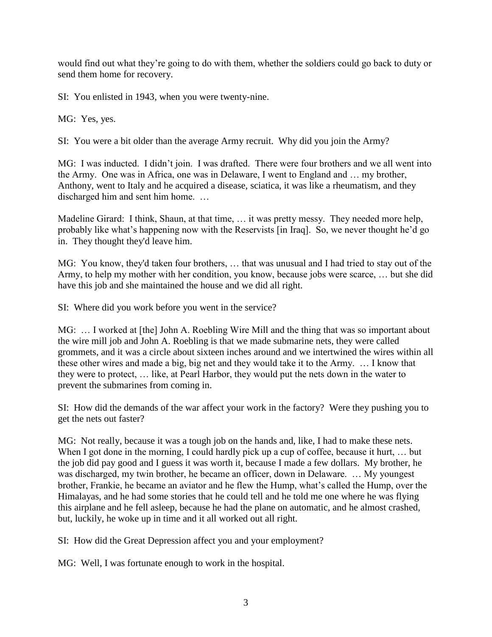would find out what they're going to do with them, whether the soldiers could go back to duty or send them home for recovery.

SI: You enlisted in 1943, when you were twenty-nine.

MG: Yes, yes.

SI: You were a bit older than the average Army recruit. Why did you join the Army?

MG: I was inducted. I didn't join. I was drafted. There were four brothers and we all went into the Army. One was in Africa, one was in Delaware, I went to England and … my brother, Anthony, went to Italy and he acquired a disease, sciatica, it was like a rheumatism, and they discharged him and sent him home. …

Madeline Girard: I think, Shaun, at that time, … it was pretty messy. They needed more help, probably like what's happening now with the Reservists [in Iraq]. So, we never thought he'd go in. They thought they'd leave him.

MG: You know, they'd taken four brothers, … that was unusual and I had tried to stay out of the Army, to help my mother with her condition, you know, because jobs were scarce, … but she did have this job and she maintained the house and we did all right.

SI: Where did you work before you went in the service?

MG: ... I worked at [the] John A. Roebling Wire Mill and the thing that was so important about the wire mill job and John A. Roebling is that we made submarine nets, they were called grommets, and it was a circle about sixteen inches around and we intertwined the wires within all these other wires and made a big, big net and they would take it to the Army. … I know that they were to protect, … like, at Pearl Harbor, they would put the nets down in the water to prevent the submarines from coming in.

SI: How did the demands of the war affect your work in the factory? Were they pushing you to get the nets out faster?

MG: Not really, because it was a tough job on the hands and, like, I had to make these nets. When I got done in the morning, I could hardly pick up a cup of coffee, because it hurt, ... but the job did pay good and I guess it was worth it, because I made a few dollars. My brother, he was discharged, my twin brother, he became an officer, down in Delaware. … My youngest brother, Frankie, he became an aviator and he flew the Hump, what's called the Hump, over the Himalayas, and he had some stories that he could tell and he told me one where he was flying this airplane and he fell asleep, because he had the plane on automatic, and he almost crashed, but, luckily, he woke up in time and it all worked out all right.

SI: How did the Great Depression affect you and your employment?

MG: Well, I was fortunate enough to work in the hospital.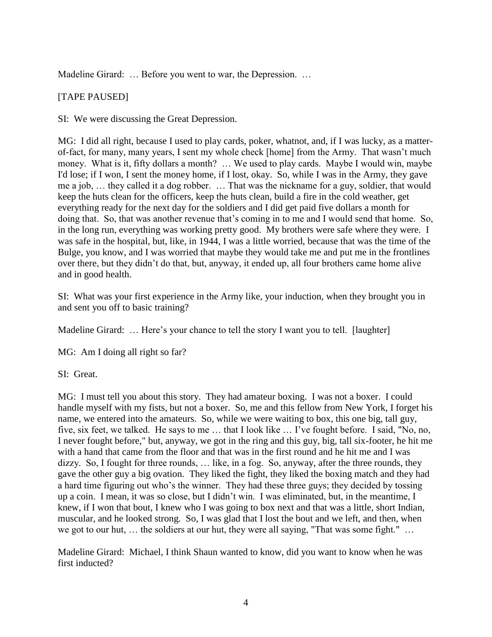Madeline Girard: ... Before you went to war, the Depression. ...

### [TAPE PAUSED]

SI: We were discussing the Great Depression.

MG: I did all right, because I used to play cards, poker, whatnot, and, if I was lucky, as a matterof-fact, for many, many years, I sent my whole check [home] from the Army. That wasn't much money. What is it, fifty dollars a month? … We used to play cards. Maybe I would win, maybe I'd lose; if I won, I sent the money home, if I lost, okay. So, while I was in the Army, they gave me a job, … they called it a dog robber. … That was the nickname for a guy, soldier, that would keep the huts clean for the officers, keep the huts clean, build a fire in the cold weather, get everything ready for the next day for the soldiers and I did get paid five dollars a month for doing that. So, that was another revenue that's coming in to me and I would send that home. So, in the long run, everything was working pretty good. My brothers were safe where they were. I was safe in the hospital, but, like, in 1944, I was a little worried, because that was the time of the Bulge, you know, and I was worried that maybe they would take me and put me in the frontlines over there, but they didn't do that, but, anyway, it ended up, all four brothers came home alive and in good health.

SI: What was your first experience in the Army like, your induction, when they brought you in and sent you off to basic training?

Madeline Girard: ... Here's your chance to tell the story I want you to tell. [laughter]

MG: Am I doing all right so far?

SI: Great.

MG: I must tell you about this story. They had amateur boxing. I was not a boxer. I could handle myself with my fists, but not a boxer. So, me and this fellow from New York, I forget his name, we entered into the amateurs. So, while we were waiting to box, this one big, tall guy, five, six feet, we talked. He says to me … that I look like … I've fought before. I said, "No, no, I never fought before," but, anyway, we got in the ring and this guy, big, tall six-footer, he hit me with a hand that came from the floor and that was in the first round and he hit me and I was dizzy. So, I fought for three rounds, … like, in a fog. So, anyway, after the three rounds, they gave the other guy a big ovation. They liked the fight, they liked the boxing match and they had a hard time figuring out who's the winner. They had these three guys; they decided by tossing up a coin. I mean, it was so close, but I didn't win. I was eliminated, but, in the meantime, I knew, if I won that bout, I knew who I was going to box next and that was a little, short Indian, muscular, and he looked strong. So, I was glad that I lost the bout and we left, and then, when we got to our hut, … the soldiers at our hut, they were all saying, "That was some fight." …

Madeline Girard: Michael, I think Shaun wanted to know, did you want to know when he was first inducted?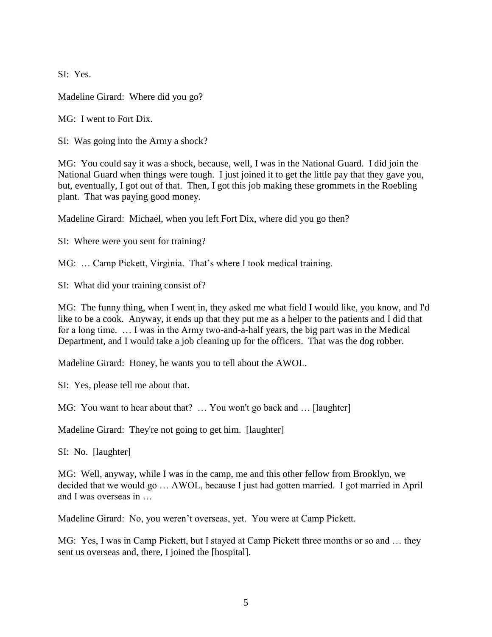SI: Yes.

Madeline Girard: Where did you go?

MG: I went to Fort Dix.

SI: Was going into the Army a shock?

MG: You could say it was a shock, because, well, I was in the National Guard. I did join the National Guard when things were tough. I just joined it to get the little pay that they gave you, but, eventually, I got out of that. Then, I got this job making these grommets in the Roebling plant. That was paying good money.

Madeline Girard: Michael, when you left Fort Dix, where did you go then?

SI: Where were you sent for training?

MG: … Camp Pickett, Virginia. That's where I took medical training.

SI: What did your training consist of?

MG: The funny thing, when I went in, they asked me what field I would like, you know, and I'd like to be a cook. Anyway, it ends up that they put me as a helper to the patients and I did that for a long time. … I was in the Army two-and-a-half years, the big part was in the Medical Department, and I would take a job cleaning up for the officers. That was the dog robber.

Madeline Girard: Honey, he wants you to tell about the AWOL.

SI: Yes, please tell me about that.

MG: You want to hear about that? … You won't go back and … [laughter]

Madeline Girard: They're not going to get him. [laughter]

SI: No. [laughter]

MG: Well, anyway, while I was in the camp, me and this other fellow from Brooklyn, we decided that we would go … AWOL, because I just had gotten married. I got married in April and I was overseas in …

Madeline Girard: No, you weren't overseas, yet. You were at Camp Pickett.

MG: Yes, I was in Camp Pickett, but I stayed at Camp Pickett three months or so and … they sent us overseas and, there, I joined the [hospital].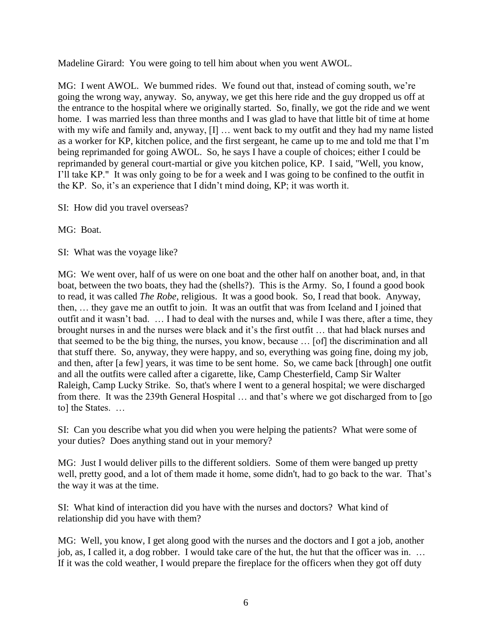Madeline Girard: You were going to tell him about when you went AWOL.

MG: I went AWOL. We bummed rides. We found out that, instead of coming south, we're going the wrong way, anyway. So, anyway, we get this here ride and the guy dropped us off at the entrance to the hospital where we originally started. So, finally, we got the ride and we went home. I was married less than three months and I was glad to have that little bit of time at home with my wife and family and, anyway, [I] ... went back to my outfit and they had my name listed as a worker for KP, kitchen police, and the first sergeant, he came up to me and told me that I'm being reprimanded for going AWOL. So, he says I have a couple of choices; either I could be reprimanded by general court-martial or give you kitchen police, KP. I said, "Well, you know, I'll take KP." It was only going to be for a week and I was going to be confined to the outfit in the KP. So, it's an experience that I didn't mind doing, KP; it was worth it.

SI: How did you travel overseas?

MG: Boat.

SI: What was the voyage like?

MG: We went over, half of us were on one boat and the other half on another boat, and, in that boat, between the two boats, they had the (shells?). This is the Army. So, I found a good book to read, it was called *The Robe*, religious. It was a good book. So, I read that book. Anyway, then, … they gave me an outfit to join. It was an outfit that was from Iceland and I joined that outfit and it wasn't bad. … I had to deal with the nurses and, while I was there, after a time, they brought nurses in and the nurses were black and it's the first outfit … that had black nurses and that seemed to be the big thing, the nurses, you know, because … [of] the discrimination and all that stuff there. So, anyway, they were happy, and so, everything was going fine, doing my job, and then, after [a few] years, it was time to be sent home. So, we came back [through] one outfit and all the outfits were called after a cigarette, like, Camp Chesterfield, Camp Sir Walter Raleigh, Camp Lucky Strike. So, that's where I went to a general hospital; we were discharged from there. It was the 239th General Hospital … and that's where we got discharged from to [go to] the States. …

SI: Can you describe what you did when you were helping the patients? What were some of your duties? Does anything stand out in your memory?

MG: Just I would deliver pills to the different soldiers. Some of them were banged up pretty well, pretty good, and a lot of them made it home, some didn't, had to go back to the war. That's the way it was at the time.

SI: What kind of interaction did you have with the nurses and doctors? What kind of relationship did you have with them?

MG: Well, you know, I get along good with the nurses and the doctors and I got a job, another job, as, I called it, a dog robber. I would take care of the hut, the hut that the officer was in. … If it was the cold weather, I would prepare the fireplace for the officers when they got off duty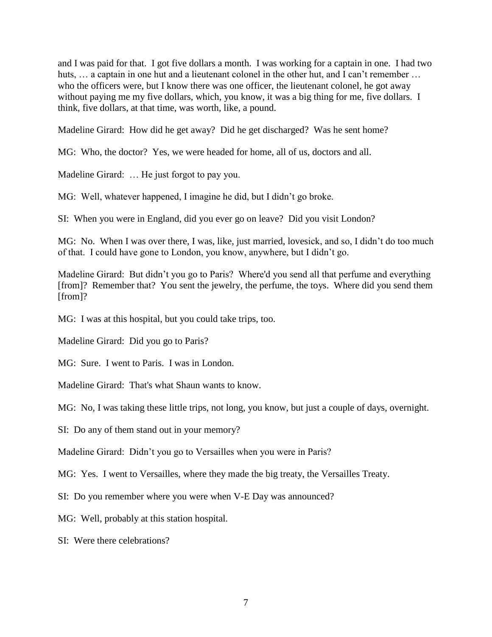and I was paid for that. I got five dollars a month. I was working for a captain in one. I had two huts, ... a captain in one hut and a lieutenant colonel in the other hut, and I can't remember ... who the officers were, but I know there was one officer, the lieutenant colonel, he got away without paying me my five dollars, which, you know, it was a big thing for me, five dollars. I think, five dollars, at that time, was worth, like, a pound.

Madeline Girard: How did he get away? Did he get discharged? Was he sent home?

MG: Who, the doctor? Yes, we were headed for home, all of us, doctors and all.

Madeline Girard: … He just forgot to pay you.

MG: Well, whatever happened, I imagine he did, but I didn't go broke.

SI: When you were in England, did you ever go on leave? Did you visit London?

MG: No. When I was over there, I was, like, just married, lovesick, and so, I didn't do too much of that. I could have gone to London, you know, anywhere, but I didn't go.

Madeline Girard: But didn't you go to Paris? Where'd you send all that perfume and everything [from]? Remember that? You sent the jewelry, the perfume, the toys. Where did you send them [from]?

MG: I was at this hospital, but you could take trips, too.

Madeline Girard: Did you go to Paris?

MG: Sure. I went to Paris. I was in London.

Madeline Girard: That's what Shaun wants to know.

MG: No, I was taking these little trips, not long, you know, but just a couple of days, overnight.

SI: Do any of them stand out in your memory?

Madeline Girard: Didn't you go to Versailles when you were in Paris?

MG: Yes. I went to Versailles, where they made the big treaty, the Versailles Treaty.

SI: Do you remember where you were when V-E Day was announced?

MG: Well, probably at this station hospital.

SI: Were there celebrations?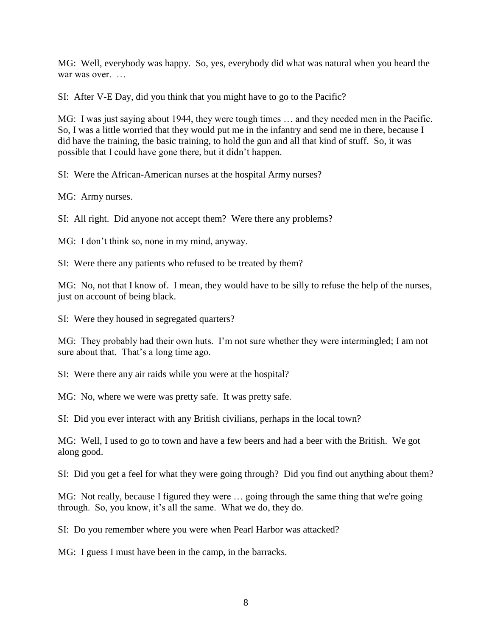MG: Well, everybody was happy. So, yes, everybody did what was natural when you heard the war was over.

SI: After V-E Day, did you think that you might have to go to the Pacific?

MG: I was just saying about 1944, they were tough times … and they needed men in the Pacific. So, I was a little worried that they would put me in the infantry and send me in there, because I did have the training, the basic training, to hold the gun and all that kind of stuff. So, it was possible that I could have gone there, but it didn't happen.

SI: Were the African-American nurses at the hospital Army nurses?

MG: Army nurses.

SI: All right. Did anyone not accept them? Were there any problems?

MG: I don't think so, none in my mind, anyway.

SI: Were there any patients who refused to be treated by them?

MG: No, not that I know of. I mean, they would have to be silly to refuse the help of the nurses, just on account of being black.

SI: Were they housed in segregated quarters?

MG: They probably had their own huts. I'm not sure whether they were intermingled; I am not sure about that. That's a long time ago.

SI: Were there any air raids while you were at the hospital?

MG: No, where we were was pretty safe. It was pretty safe.

SI: Did you ever interact with any British civilians, perhaps in the local town?

MG: Well, I used to go to town and have a few beers and had a beer with the British. We got along good.

SI: Did you get a feel for what they were going through? Did you find out anything about them?

MG: Not really, because I figured they were … going through the same thing that we're going through. So, you know, it's all the same. What we do, they do.

SI: Do you remember where you were when Pearl Harbor was attacked?

MG: I guess I must have been in the camp, in the barracks.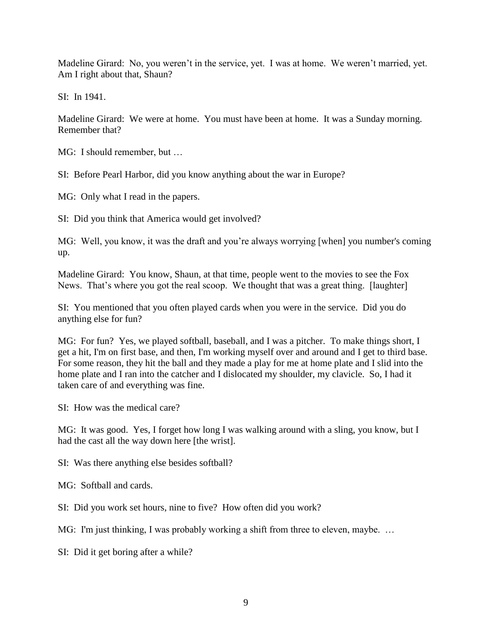Madeline Girard: No, you weren't in the service, yet. I was at home. We weren't married, yet. Am I right about that, Shaun?

SI: In 1941.

Madeline Girard: We were at home. You must have been at home. It was a Sunday morning. Remember that?

MG: I should remember, but …

SI: Before Pearl Harbor, did you know anything about the war in Europe?

MG: Only what I read in the papers.

SI: Did you think that America would get involved?

MG: Well, you know, it was the draft and you're always worrying [when] you number's coming up.

Madeline Girard: You know, Shaun, at that time, people went to the movies to see the Fox News. That's where you got the real scoop. We thought that was a great thing. [laughter]

SI: You mentioned that you often played cards when you were in the service. Did you do anything else for fun?

MG: For fun? Yes, we played softball, baseball, and I was a pitcher. To make things short, I get a hit, I'm on first base, and then, I'm working myself over and around and I get to third base. For some reason, they hit the ball and they made a play for me at home plate and I slid into the home plate and I ran into the catcher and I dislocated my shoulder, my clavicle. So, I had it taken care of and everything was fine.

SI: How was the medical care?

MG: It was good. Yes, I forget how long I was walking around with a sling, you know, but I had the cast all the way down here [the wrist].

SI: Was there anything else besides softball?

MG: Softball and cards.

SI: Did you work set hours, nine to five? How often did you work?

MG: I'm just thinking, I was probably working a shift from three to eleven, maybe. ...

SI: Did it get boring after a while?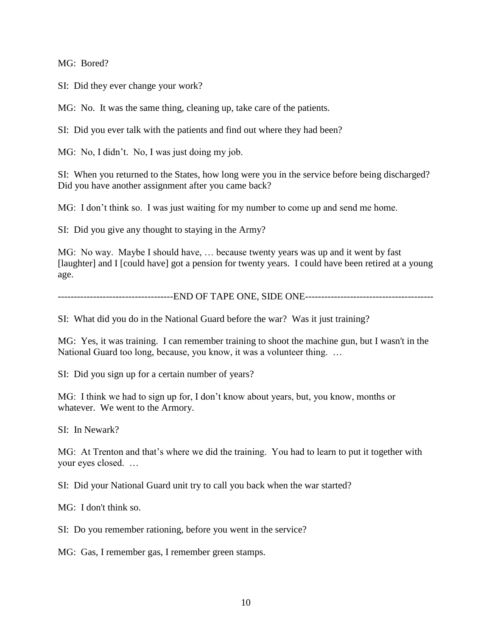MG: Bored?

SI: Did they ever change your work?

MG: No. It was the same thing, cleaning up, take care of the patients.

SI: Did you ever talk with the patients and find out where they had been?

MG: No, I didn't. No, I was just doing my job.

SI: When you returned to the States, how long were you in the service before being discharged? Did you have another assignment after you came back?

MG: I don't think so. I was just waiting for my number to come up and send me home.

SI: Did you give any thought to staying in the Army?

MG: No way. Maybe I should have, … because twenty years was up and it went by fast [laughter] and I [could have] got a pension for twenty years. I could have been retired at a young age.

------------------------------------END OF TAPE ONE, SIDE ONE----------------------------------------

SI: What did you do in the National Guard before the war? Was it just training?

MG: Yes, it was training. I can remember training to shoot the machine gun, but I wasn't in the National Guard too long, because, you know, it was a volunteer thing. …

SI: Did you sign up for a certain number of years?

MG: I think we had to sign up for, I don't know about years, but, you know, months or whatever. We went to the Armory.

SI: In Newark?

MG: At Trenton and that's where we did the training. You had to learn to put it together with your eyes closed. …

SI: Did your National Guard unit try to call you back when the war started?

MG: I don't think so.

SI: Do you remember rationing, before you went in the service?

MG: Gas, I remember gas, I remember green stamps.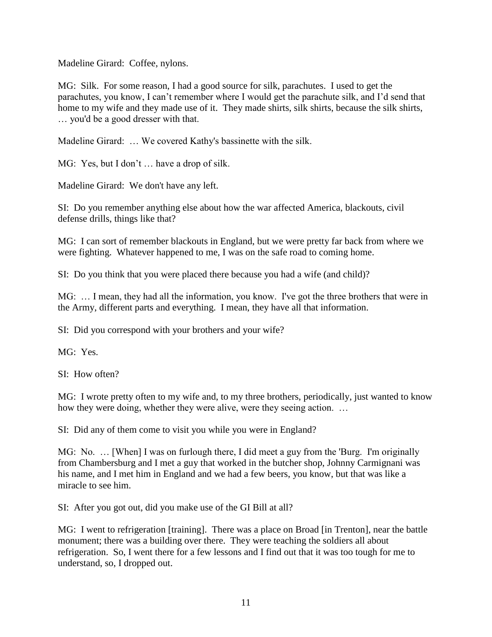Madeline Girard: Coffee, nylons.

MG: Silk. For some reason, I had a good source for silk, parachutes. I used to get the parachutes, you know, I can't remember where I would get the parachute silk, and I'd send that home to my wife and they made use of it. They made shirts, silk shirts, because the silk shirts, … you'd be a good dresser with that.

Madeline Girard: … We covered Kathy's bassinette with the silk.

MG: Yes, but I don't ... have a drop of silk.

Madeline Girard: We don't have any left.

SI: Do you remember anything else about how the war affected America, blackouts, civil defense drills, things like that?

MG: I can sort of remember blackouts in England, but we were pretty far back from where we were fighting. Whatever happened to me, I was on the safe road to coming home.

SI: Do you think that you were placed there because you had a wife (and child)?

MG: … I mean, they had all the information, you know. I've got the three brothers that were in the Army, different parts and everything. I mean, they have all that information.

SI: Did you correspond with your brothers and your wife?

MG: Yes.

SI: How often?

MG: I wrote pretty often to my wife and, to my three brothers, periodically, just wanted to know how they were doing, whether they were alive, were they seeing action. …

SI: Did any of them come to visit you while you were in England?

MG: No. … [When] I was on furlough there, I did meet a guy from the 'Burg. I'm originally from Chambersburg and I met a guy that worked in the butcher shop, Johnny Carmignani was his name, and I met him in England and we had a few beers, you know, but that was like a miracle to see him.

SI: After you got out, did you make use of the GI Bill at all?

MG: I went to refrigeration [training]. There was a place on Broad [in Trenton], near the battle monument; there was a building over there. They were teaching the soldiers all about refrigeration. So, I went there for a few lessons and I find out that it was too tough for me to understand, so, I dropped out.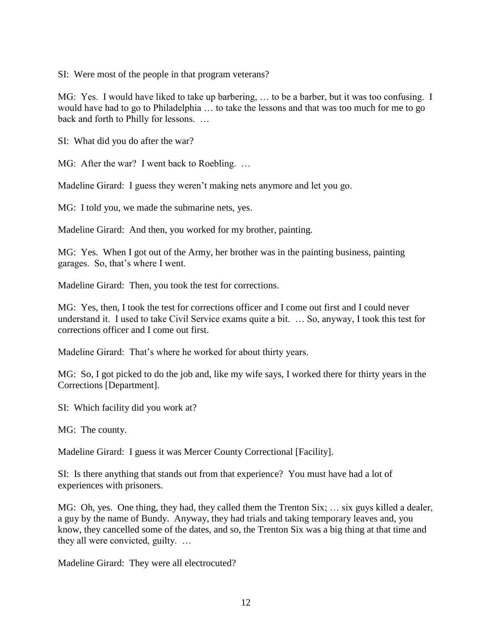SI: Were most of the people in that program veterans?

MG: Yes. I would have liked to take up barbering, … to be a barber, but it was too confusing. I would have had to go to Philadelphia … to take the lessons and that was too much for me to go back and forth to Philly for lessons. …

SI: What did you do after the war?

MG: After the war? I went back to Roebling. …

Madeline Girard: I guess they weren't making nets anymore and let you go.

MG: I told you, we made the submarine nets, yes.

Madeline Girard: And then, you worked for my brother, painting.

MG: Yes. When I got out of the Army, her brother was in the painting business, painting garages. So, that's where I went.

Madeline Girard: Then, you took the test for corrections.

MG: Yes, then, I took the test for corrections officer and I come out first and I could never understand it. I used to take Civil Service exams quite a bit. … So, anyway, I took this test for corrections officer and I come out first.

Madeline Girard: That's where he worked for about thirty years.

MG: So, I got picked to do the job and, like my wife says, I worked there for thirty years in the Corrections [Department].

SI: Which facility did you work at?

MG: The county.

Madeline Girard: I guess it was Mercer County Correctional [Facility].

SI: Is there anything that stands out from that experience? You must have had a lot of experiences with prisoners.

MG: Oh, yes. One thing, they had, they called them the Trenton Six; … six guys killed a dealer, a guy by the name of Bundy. Anyway, they had trials and taking temporary leaves and, you know, they cancelled some of the dates, and so, the Trenton Six was a big thing at that time and they all were convicted, guilty. …

Madeline Girard: They were all electrocuted?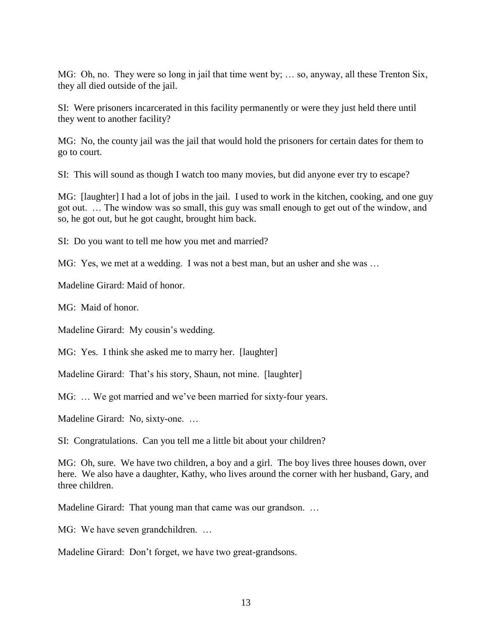MG: Oh, no. They were so long in jail that time went by; … so, anyway, all these Trenton Six, they all died outside of the jail.

SI: Were prisoners incarcerated in this facility permanently or were they just held there until they went to another facility?

MG: No, the county jail was the jail that would hold the prisoners for certain dates for them to go to court.

SI: This will sound as though I watch too many movies, but did anyone ever try to escape?

MG: [laughter] I had a lot of jobs in the jail. I used to work in the kitchen, cooking, and one guy got out. … The window was so small, this guy was small enough to get out of the window, and so, he got out, but he got caught, brought him back.

SI: Do you want to tell me how you met and married?

MG: Yes, we met at a wedding. I was not a best man, but an usher and she was …

Madeline Girard: Maid of honor.

MG: Maid of honor.

Madeline Girard: My cousin's wedding.

MG: Yes. I think she asked me to marry her. [laughter]

Madeline Girard: That's his story, Shaun, not mine. [laughter]

MG: ... We got married and we've been married for sixty-four years.

Madeline Girard: No, sixty-one. …

SI: Congratulations. Can you tell me a little bit about your children?

MG: Oh, sure. We have two children, a boy and a girl. The boy lives three houses down, over here. We also have a daughter, Kathy, who lives around the corner with her husband, Gary, and three children.

Madeline Girard: That young man that came was our grandson. ...

MG: We have seven grandchildren. …

Madeline Girard: Don't forget, we have two great-grandsons.